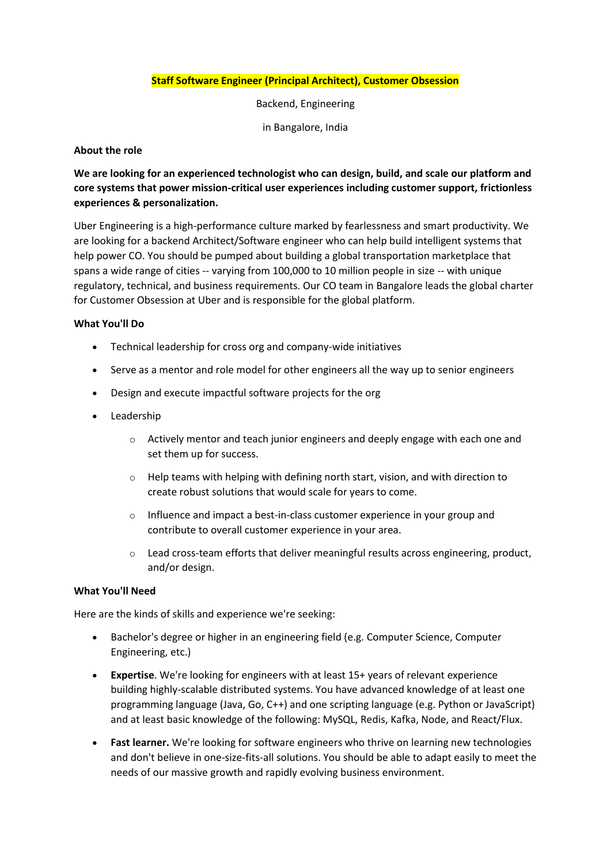## **Staff Software Engineer (Principal Architect), Customer Obsession**

Backend, Engineering

in Bangalore, India

## **About the role**

# **We are looking for an experienced technologist who can design, build, and scale our platform and core systems that power mission-critical user experiences including customer support, frictionless experiences & personalization.**

Uber Engineering is a high-performance culture marked by fearlessness and smart productivity. We are looking for a backend Architect/Software engineer who can help build intelligent systems that help power CO. You should be pumped about building a global transportation marketplace that spans a wide range of cities -- varying from 100,000 to 10 million people in size -- with unique regulatory, technical, and business requirements. Our CO team in Bangalore leads the global charter for Customer Obsession at Uber and is responsible for the global platform.

#### **What You'll Do**

- Technical leadership for cross org and company-wide initiatives
- Serve as a mentor and role model for other engineers all the way up to senior engineers
- Design and execute impactful software projects for the org
- Leadership
	- $\circ$  Actively mentor and teach junior engineers and deeply engage with each one and set them up for success.
	- o Help teams with helping with defining north start, vision, and with direction to create robust solutions that would scale for years to come.
	- $\circ$  Influence and impact a best-in-class customer experience in your group and contribute to overall customer experience in your area.
	- $\circ$  Lead cross-team efforts that deliver meaningful results across engineering, product, and/or design.

## **What You'll Need**

Here are the kinds of skills and experience we're seeking:

- Bachelor's degree or higher in an engineering field (e.g. Computer Science, Computer Engineering, etc.)
- **Expertise**. We're looking for engineers with at least 15+ years of relevant experience building highly-scalable distributed systems. You have advanced knowledge of at least one programming language (Java, Go, C++) and one scripting language (e.g. Python or JavaScript) and at least basic knowledge of the following: MySQL, Redis, Kafka, Node, and React/Flux.
- **Fast learner.** We're looking for software engineers who thrive on learning new technologies and don't believe in one-size-fits-all solutions. You should be able to adapt easily to meet the needs of our massive growth and rapidly evolving business environment.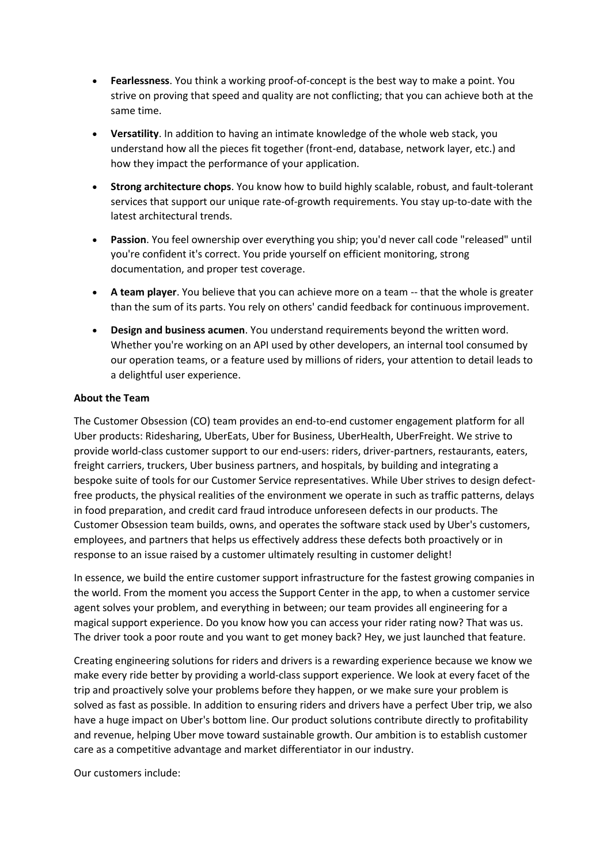- **Fearlessness**. You think a working proof-of-concept is the best way to make a point. You strive on proving that speed and quality are not conflicting; that you can achieve both at the same time.
- **Versatility**. In addition to having an intimate knowledge of the whole web stack, you understand how all the pieces fit together (front-end, database, network layer, etc.) and how they impact the performance of your application.
- **Strong architecture chops**. You know how to build highly scalable, robust, and fault-tolerant services that support our unique rate-of-growth requirements. You stay up-to-date with the latest architectural trends.
- **Passion**. You feel ownership over everything you ship; you'd never call code "released" until you're confident it's correct. You pride yourself on efficient monitoring, strong documentation, and proper test coverage.
- **A team player**. You believe that you can achieve more on a team -- that the whole is greater than the sum of its parts. You rely on others' candid feedback for continuous improvement.
- **Design and business acumen**. You understand requirements beyond the written word. Whether you're working on an API used by other developers, an internal tool consumed by our operation teams, or a feature used by millions of riders, your attention to detail leads to a delightful user experience.

## **About the Team**

The Customer Obsession (CO) team provides an end-to-end customer engagement platform for all Uber products: Ridesharing, UberEats, Uber for Business, UberHealth, UberFreight. We strive to provide world-class customer support to our end-users: riders, driver-partners, restaurants, eaters, freight carriers, truckers, Uber business partners, and hospitals, by building and integrating a bespoke suite of tools for our Customer Service representatives. While Uber strives to design defectfree products, the physical realities of the environment we operate in such as traffic patterns, delays in food preparation, and credit card fraud introduce unforeseen defects in our products. The Customer Obsession team builds, owns, and operates the software stack used by Uber's customers, employees, and partners that helps us effectively address these defects both proactively or in response to an issue raised by a customer ultimately resulting in customer delight!

In essence, we build the entire customer support infrastructure for the fastest growing companies in the world. From the moment you access the Support Center in the app, to when a customer service agent solves your problem, and everything in between; our team provides all engineering for a magical support experience. Do you know how you can access your rider rating now? That was us. The driver took a poor route and you want to get money back? Hey, we just launched that feature.

Creating engineering solutions for riders and drivers is a rewarding experience because we know we make every ride better by providing a world-class support experience. We look at every facet of the trip and proactively solve your problems before they happen, or we make sure your problem is solved as fast as possible. In addition to ensuring riders and drivers have a perfect Uber trip, we also have a huge impact on Uber's bottom line. Our product solutions contribute directly to profitability and revenue, helping Uber move toward sustainable growth. Our ambition is to establish customer care as a competitive advantage and market differentiator in our industry.

Our customers include: